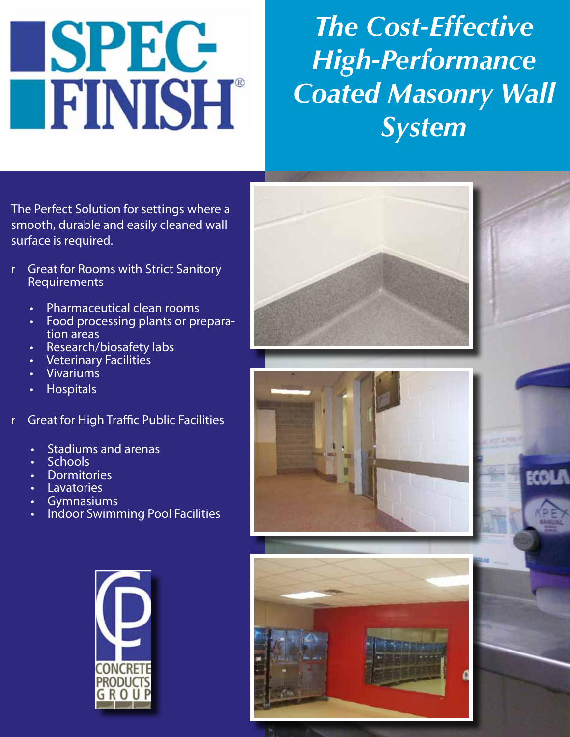# SPEC **FINISH®**

## *The Cost-Effective High-Performance Coated Masonry Wall System*

The Perfect Solution for settings where a smooth, durable and easily cleaned wall surface is required.

- r Great for Rooms with Strict Sanitory **Requirements** 
	- Pharmaceutical clean rooms
	- Food processing plants or preparation areas
	- Research/biosafety labs
	- Veterinary Facilities
	- **Vivariums**
	- **Hospitals**
- r Great for High Traffic Public Facilities
	- Stadiums and arenas
	- **Schools**
	- **Dormitories**
	- **Lavatories**
	- **Gymnasiums**
	- Indoor Swimming Pool Facilities



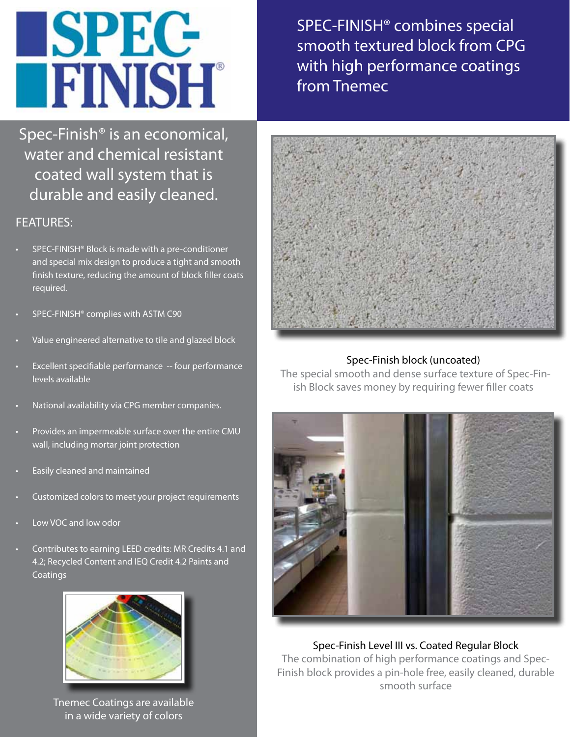# **SPEC-TEINISH®**

Spec-Finish® is an economical, water and chemical resistant coated wall system that is durable and easily cleaned.

### FEATURES:

- SPEC-FINISH® Block is made with a pre-conditioner and special mix design to produce a tight and smooth finish texture, reducing the amount of block filler coats required.
- SPEC-FINISH<sup>®</sup> complies with ASTM C90
- Value engineered alternative to tile and glazed block
- Excellent specifiable performance -- four performance levels available
- National availability via CPG member companies.
- Provides an impermeable surface over the entire CMU wall, including mortar joint protection
- Easily cleaned and maintained
- Customized colors to meet your project requirements
- Low VOC and low odor
- Contributes to earning LEED credits: MR Credits 4.1 and 4.2; Recycled Content and IEQ Credit 4.2 Paints and **Coatings**



Tnemec Coatings are available in a wide variety of colors

SPEC-FINISH® combines special smooth textured block from CPG with high performance coatings from Tnemec



#### Spec-Finish block (uncoated)

 The special smooth and dense surface texture of Spec-Finish Block saves money by requiring fewer filler coats



Spec-Finish Level III vs. Coated Regular Block The combination of high performance coatings and Spec-Finish block provides a pin-hole free, easily cleaned, durable smooth surface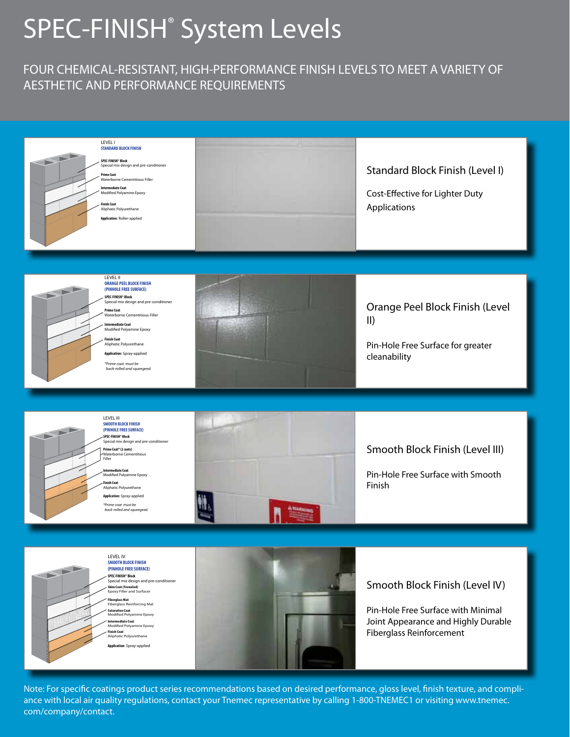## SPEC-FINISH<sup>®</sup> System Levels

#### FOUR CHEMICAL-RESISTANT, HIGH-PERFORMANCE FINISH LEVELS TO MEET A VARIETY OF AESTHETIC AND PERFORMANCE REQUIREMENTS



Note: For specific coatings product series recommendations based on desired performance, gloss level, finish texture, and compliance with local air quality regulations, contact your Tnemec representative by calling 1-800-TNEMEC1 or visiting www.tnemec. com/company/contact.